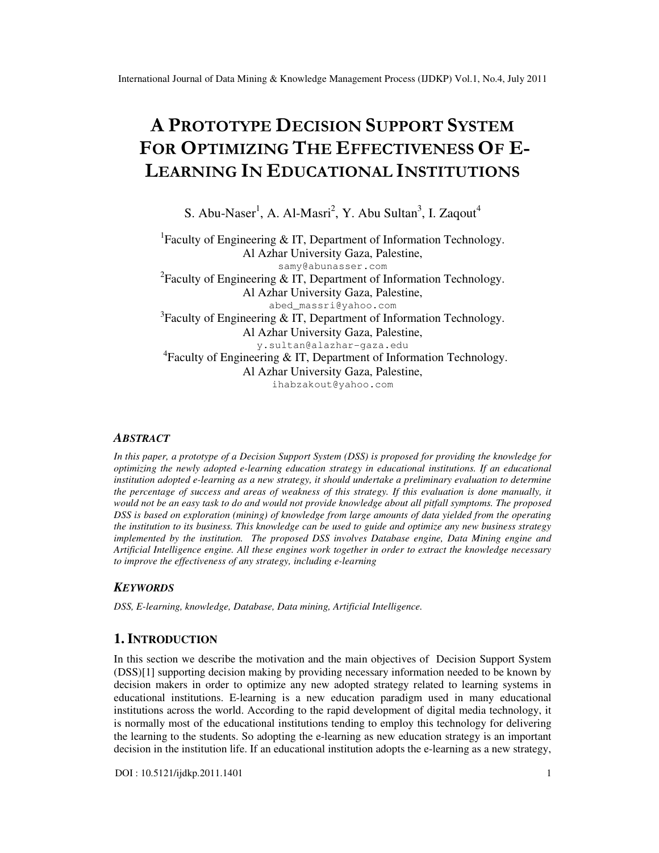# A PROTOTYPE DECISION SUPPORT SYSTEM FOR OPTIMIZING THE EFFECTIVENESS OF E-LEARNING IN EDUCATIONAL INSTITUTIONS

S. Abu-Naser<sup>1</sup>, A. Al-Masri<sup>2</sup>, Y. Abu Sultan<sup>3</sup>, I. Zaqout<sup>4</sup>

<sup>1</sup>Faculty of Engineering & IT, Department of Information Technology. Al Azhar University Gaza, Palestine, samy@abunasser.com <sup>2</sup> Faculty of Engineering & IT, Department of Information Technology. Al Azhar University Gaza, Palestine, abed\_massri@yahoo.com  $3$ Faculty of Engineering & IT, Department of Information Technology. Al Azhar University Gaza, Palestine, y.sultan@alazhar-gaza.edu <sup>4</sup> Faculty of Engineering & IT, Department of Information Technology. Al Azhar University Gaza, Palestine, ihabzakout@yahoo.com

# *ABSTRACT*

*In this paper, a prototype of a Decision Support System (DSS) is proposed for providing the knowledge for optimizing the newly adopted e-learning education strategy in educational institutions. If an educational institution adopted e-learning as a new strategy, it should undertake a preliminary evaluation to determine the percentage of success and areas of weakness of this strategy. If this evaluation is done manually, it would not be an easy task to do and would not provide knowledge about all pitfall symptoms. The proposed DSS is based on exploration (mining) of knowledge from large amounts of data yielded from the operating the institution to its business. This knowledge can be used to guide and optimize any new business strategy implemented by the institution. The proposed DSS involves Database engine, Data Mining engine and Artificial Intelligence engine. All these engines work together in order to extract the knowledge necessary to improve the effectiveness of any strategy, including e-learning* 

#### *KEYWORDS*

*DSS, E-learning, knowledge, Database, Data mining, Artificial Intelligence.* 

# **1. INTRODUCTION**

In this section we describe the motivation and the main objectives of Decision Support System (DSS)[1] supporting decision making by providing necessary information needed to be known by decision makers in order to optimize any new adopted strategy related to learning systems in educational institutions. E-learning is a new education paradigm used in many educational institutions across the world. According to the rapid development of digital media technology, it is normally most of the educational institutions tending to employ this technology for delivering the learning to the students. So adopting the e-learning as new education strategy is an important decision in the institution life. If an educational institution adopts the e-learning as a new strategy,

DOI : 10.5121/ijdkp.2011.1401 1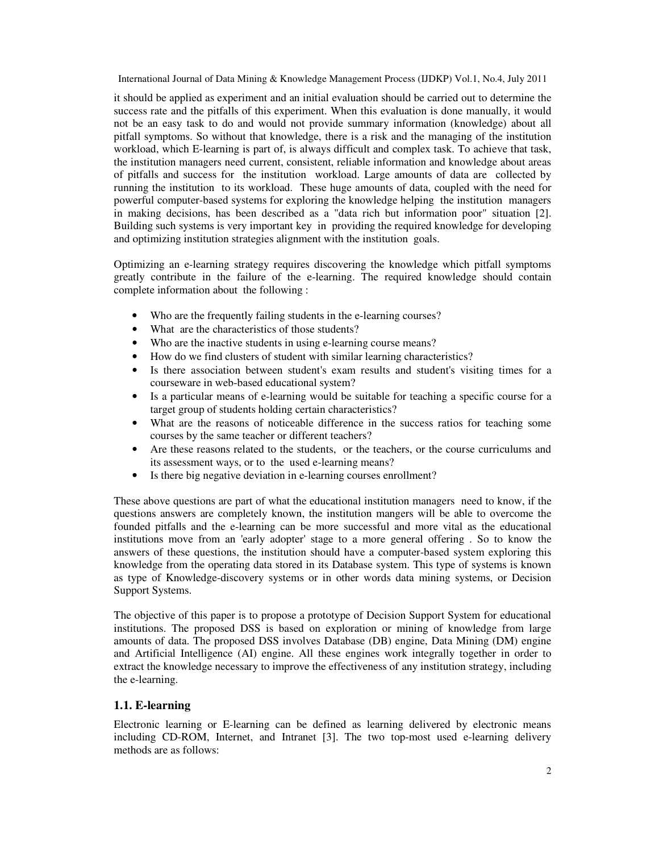it should be applied as experiment and an initial evaluation should be carried out to determine the success rate and the pitfalls of this experiment. When this evaluation is done manually, it would not be an easy task to do and would not provide summary information (knowledge) about all pitfall symptoms. So without that knowledge, there is a risk and the managing of the institution workload, which E-learning is part of, is always difficult and complex task. To achieve that task, the institution managers need current, consistent, reliable information and knowledge about areas of pitfalls and success for the institution workload. Large amounts of data are collected by running the institution to its workload. These huge amounts of data, coupled with the need for powerful computer-based systems for exploring the knowledge helping the institution managers in making decisions, has been described as a "data rich but information poor" situation [2]. Building such systems is very important key in providing the required knowledge for developing and optimizing institution strategies alignment with the institution goals.

Optimizing an e-learning strategy requires discovering the knowledge which pitfall symptoms greatly contribute in the failure of the e-learning. The required knowledge should contain complete information about the following :

- Who are the frequently failing students in the e-learning courses?
- What are the characteristics of those students?
- Who are the inactive students in using e-learning course means?
- How do we find clusters of student with similar learning characteristics?
- Is there association between student's exam results and student's visiting times for a courseware in web-based educational system?
- Is a particular means of e-learning would be suitable for teaching a specific course for a target group of students holding certain characteristics?
- What are the reasons of noticeable difference in the success ratios for teaching some courses by the same teacher or different teachers?
- Are these reasons related to the students, or the teachers, or the course curriculums and its assessment ways, or to the used e-learning means?
- Is there big negative deviation in e-learning courses enrollment?

These above questions are part of what the educational institution managers need to know, if the questions answers are completely known, the institution mangers will be able to overcome the founded pitfalls and the e-learning can be more successful and more vital as the educational institutions move from an 'early adopter' stage to a more general offering . So to know the answers of these questions, the institution should have a computer-based system exploring this knowledge from the operating data stored in its Database system. This type of systems is known as type of Knowledge-discovery systems or in other words data mining systems, or Decision Support Systems.

The objective of this paper is to propose a prototype of Decision Support System for educational institutions. The proposed DSS is based on exploration or mining of knowledge from large amounts of data. The proposed DSS involves Database (DB) engine, Data Mining (DM) engine and Artificial Intelligence (AI) engine. All these engines work integrally together in order to extract the knowledge necessary to improve the effectiveness of any institution strategy, including the e-learning.

# **1.1. E-learning**

Electronic learning or E-learning can be defined as learning delivered by electronic means including CD-ROM, Internet, and Intranet [3]. The two top-most used e-learning delivery methods are as follows: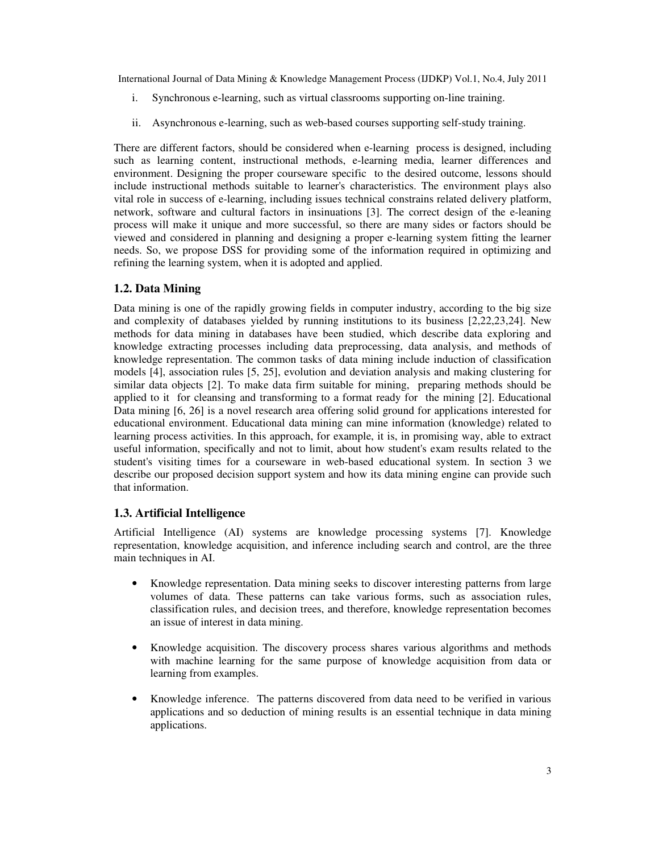- i. Synchronous e-learning, such as virtual classrooms supporting on-line training.
- ii. Asynchronous e-learning, such as web-based courses supporting self-study training.

There are different factors, should be considered when e-learning process is designed, including such as learning content, instructional methods, e-learning media, learner differences and environment. Designing the proper courseware specific to the desired outcome, lessons should include instructional methods suitable to learner's characteristics. The environment plays also vital role in success of e-learning, including issues technical constrains related delivery platform, network, software and cultural factors in insinuations [3]. The correct design of the e-leaning process will make it unique and more successful, so there are many sides or factors should be viewed and considered in planning and designing a proper e-learning system fitting the learner needs. So, we propose DSS for providing some of the information required in optimizing and refining the learning system, when it is adopted and applied.

# **1.2. Data Mining**

Data mining is one of the rapidly growing fields in computer industry, according to the big size and complexity of databases yielded by running institutions to its business [2,22,23,24]. New methods for data mining in databases have been studied, which describe data exploring and knowledge extracting processes including data preprocessing, data analysis, and methods of knowledge representation. The common tasks of data mining include induction of classification models [4], association rules [5, 25], evolution and deviation analysis and making clustering for similar data objects [2]. To make data firm suitable for mining, preparing methods should be applied to it for cleansing and transforming to a format ready for the mining [2]. Educational Data mining [6, 26] is a novel research area offering solid ground for applications interested for educational environment. Educational data mining can mine information (knowledge) related to learning process activities. In this approach, for example, it is, in promising way, able to extract useful information, specifically and not to limit, about how student's exam results related to the student's visiting times for a courseware in web-based educational system. In section 3 we describe our proposed decision support system and how its data mining engine can provide such that information.

# **1.3. Artificial Intelligence**

Artificial Intelligence (AI) systems are knowledge processing systems [7]. Knowledge representation, knowledge acquisition, and inference including search and control, are the three main techniques in AI.

- Knowledge representation. Data mining seeks to discover interesting patterns from large volumes of data. These patterns can take various forms, such as association rules, classification rules, and decision trees, and therefore, knowledge representation becomes an issue of interest in data mining.
- Knowledge acquisition. The discovery process shares various algorithms and methods with machine learning for the same purpose of knowledge acquisition from data or learning from examples.
- Knowledge inference. The patterns discovered from data need to be verified in various applications and so deduction of mining results is an essential technique in data mining applications.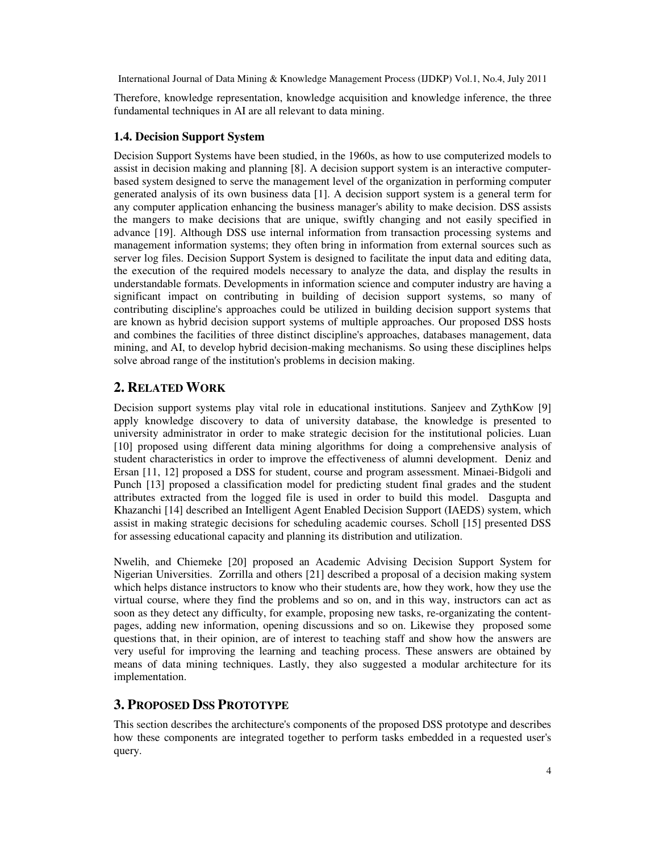Therefore, knowledge representation, knowledge acquisition and knowledge inference, the three fundamental techniques in AI are all relevant to data mining.

# **1.4. Decision Support System**

Decision Support Systems have been studied, in the 1960s, as how to use computerized models to assist in decision making and planning [8]. A decision support system is an interactive computerbased system designed to serve the management level of the organization in performing computer generated analysis of its own business data [1]. A decision support system is a general term for any computer application enhancing the business manager's ability to make decision. DSS assists the mangers to make decisions that are unique, swiftly changing and not easily specified in advance [19]. Although DSS use internal information from transaction processing systems and management information systems; they often bring in information from external sources such as server log files. Decision Support System is designed to facilitate the input data and editing data, the execution of the required models necessary to analyze the data, and display the results in understandable formats. Developments in information science and computer industry are having a significant impact on contributing in building of decision support systems, so many of contributing discipline's approaches could be utilized in building decision support systems that are known as hybrid decision support systems of multiple approaches. Our proposed DSS hosts and combines the facilities of three distinct discipline's approaches, databases management, data mining, and AI, to develop hybrid decision-making mechanisms. So using these disciplines helps solve abroad range of the institution's problems in decision making.

# **2. RELATED WORK**

Decision support systems play vital role in educational institutions. Sanjeev and ZythKow [9] apply knowledge discovery to data of university database, the knowledge is presented to university administrator in order to make strategic decision for the institutional policies. Luan [10] proposed using different data mining algorithms for doing a comprehensive analysis of student characteristics in order to improve the effectiveness of alumni development. Deniz and Ersan [11, 12] proposed a DSS for student, course and program assessment. Minaei-Bidgoli and Punch [13] proposed a classification model for predicting student final grades and the student attributes extracted from the logged file is used in order to build this model. Dasgupta and Khazanchi [14] described an Intelligent Agent Enabled Decision Support (IAEDS) system, which assist in making strategic decisions for scheduling academic courses. Scholl [15] presented DSS for assessing educational capacity and planning its distribution and utilization.

Nwelih, and Chiemeke [20] proposed an Academic Advising Decision Support System for Nigerian Universities. Zorrilla and others [21] described a proposal of a decision making system which helps distance instructors to know who their students are, how they work, how they use the virtual course, where they find the problems and so on, and in this way, instructors can act as soon as they detect any difficulty, for example, proposing new tasks, re-organizating the contentpages, adding new information, opening discussions and so on. Likewise they proposed some questions that, in their opinion, are of interest to teaching staff and show how the answers are very useful for improving the learning and teaching process. These answers are obtained by means of data mining techniques. Lastly, they also suggested a modular architecture for its implementation.

# **3. PROPOSED DSS PROTOTYPE**

This section describes the architecture's components of the proposed DSS prototype and describes how these components are integrated together to perform tasks embedded in a requested user's query.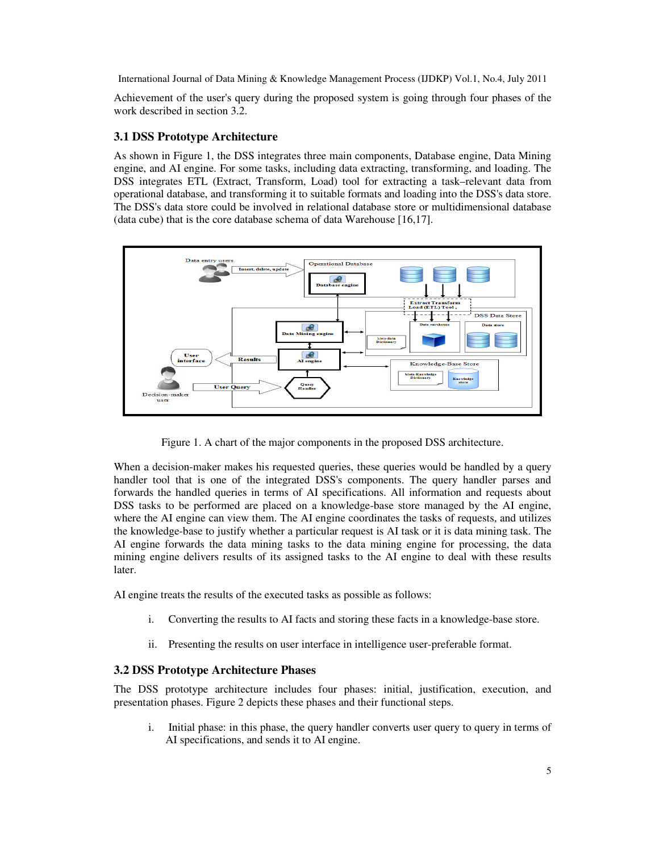Achievement of the user's query during the proposed system is going through four phases of the work described in section 3.2.

# **3.1 DSS Prototype Architecture**

As shown in Figure 1, the DSS integrates three main components, Database engine, Data Mining engine, and AI engine. For some tasks, including data extracting, transforming, and loading. The DSS integrates ETL (Extract, Transform, Load) tool for extracting a task–relevant data from operational database, and transforming it to suitable formats and loading into the DSS's data store. The DSS's data store could be involved in relational database store or multidimensional database (data cube) that is the core database schema of data Warehouse [16,17].



Figure 1. A chart of the major components in the proposed DSS architecture.

When a decision-maker makes his requested queries, these queries would be handled by a query handler tool that is one of the integrated DSS's components. The query handler parses and forwards the handled queries in terms of AI specifications. All information and requests about DSS tasks to be performed are placed on a knowledge-base store managed by the AI engine, where the AI engine can view them. The AI engine coordinates the tasks of requests, and utilizes the knowledge-base to justify whether a particular request is AI task or it is data mining task. The AI engine forwards the data mining tasks to the data mining engine for processing, the data mining engine delivers results of its assigned tasks to the AI engine to deal with these results later.

AI engine treats the results of the executed tasks as possible as follows:

- i. Converting the results to AI facts and storing these facts in a knowledge-base store.
- ii. Presenting the results on user interface in intelligence user-preferable format.

#### **3.2 DSS Prototype Architecture Phases**

The DSS prototype architecture includes four phases: initial, justification, execution, and presentation phases. Figure 2 depicts these phases and their functional steps.

i. Initial phase: in this phase, the query handler converts user query to query in terms of AI specifications, and sends it to AI engine.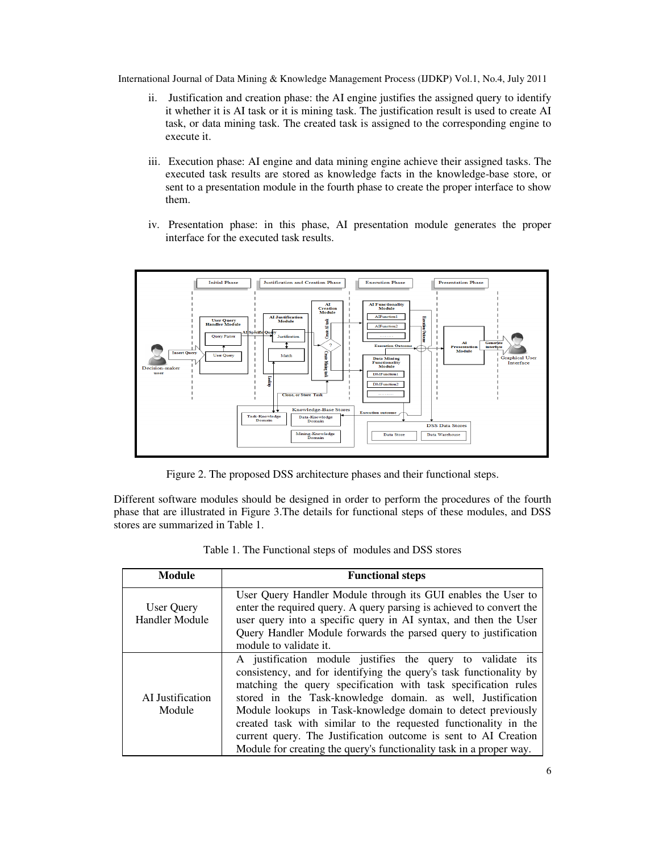- ii. Justification and creation phase: the AI engine justifies the assigned query to identify it whether it is AI task or it is mining task. The justification result is used to create AI task, or data mining task. The created task is assigned to the corresponding engine to execute it.
- iii. Execution phase: AI engine and data mining engine achieve their assigned tasks. The executed task results are stored as knowledge facts in the knowledge-base store, or sent to a presentation module in the fourth phase to create the proper interface to show them.
- iv. Presentation phase: in this phase, AI presentation module generates the proper interface for the executed task results.



Figure 2. The proposed DSS architecture phases and their functional steps.

Different software modules should be designed in order to perform the procedures of the fourth phase that are illustrated in Figure 3.The details for functional steps of these modules, and DSS stores are summarized in Table 1.

| <b>Module</b>                       | <b>Functional steps</b>                                                                                                                                                                                                                                                                                                                                                                                                                                                                                                                        |  |  |  |
|-------------------------------------|------------------------------------------------------------------------------------------------------------------------------------------------------------------------------------------------------------------------------------------------------------------------------------------------------------------------------------------------------------------------------------------------------------------------------------------------------------------------------------------------------------------------------------------------|--|--|--|
| User Query<br><b>Handler Module</b> | User Query Handler Module through its GUI enables the User to<br>enter the required query. A query parsing is achieved to convert the<br>user query into a specific query in AI syntax, and then the User<br>Query Handler Module forwards the parsed query to justification<br>module to validate it.                                                                                                                                                                                                                                         |  |  |  |
| AI Justification<br>Module          | A justification module justifies the query to validate its<br>consistency, and for identifying the query's task functionality by<br>matching the query specification with task specification rules<br>stored in the Task-knowledge domain. as well, Justification<br>Module lookups in Task-knowledge domain to detect previously<br>created task with similar to the requested functionality in the<br>current query. The Justification outcome is sent to AI Creation<br>Module for creating the query's functionality task in a proper way. |  |  |  |

Table 1. The Functional steps of modules and DSS stores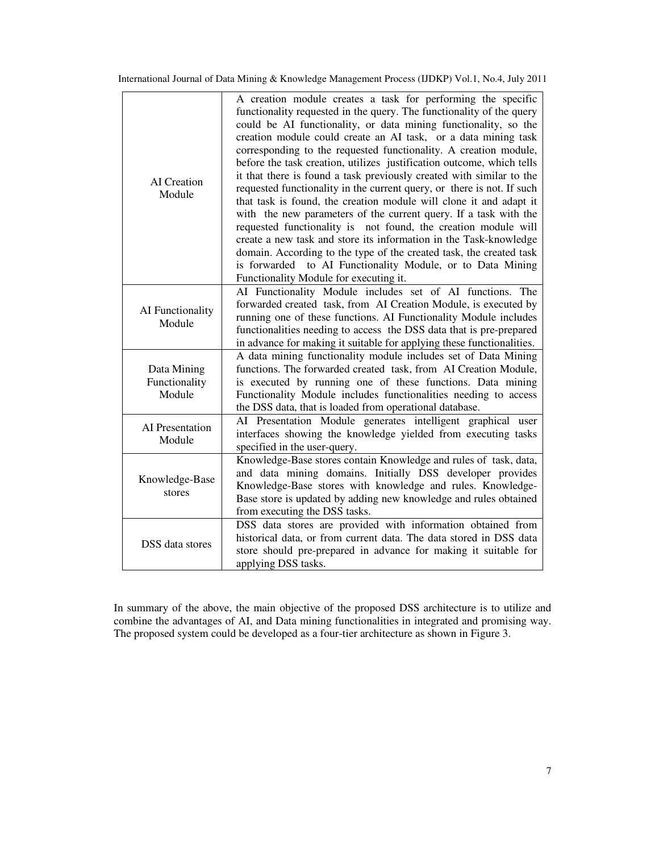| AI Creation<br>Module                  | A creation module creates a task for performing the specific<br>functionality requested in the query. The functionality of the query<br>could be AI functionality, or data mining functionality, so the<br>creation module could create an AI task, or a data mining task<br>corresponding to the requested functionality. A creation module,<br>before the task creation, utilizes justification outcome, which tells<br>it that there is found a task previously created with similar to the<br>requested functionality in the current query, or there is not. If such<br>that task is found, the creation module will clone it and adapt it<br>with the new parameters of the current query. If a task with the<br>requested functionality is not found, the creation module will<br>create a new task and store its information in the Task-knowledge<br>domain. According to the type of the created task, the created task<br>is forwarded to AI Functionality Module, or to Data Mining<br>Functionality Module for executing it. |
|----------------------------------------|------------------------------------------------------------------------------------------------------------------------------------------------------------------------------------------------------------------------------------------------------------------------------------------------------------------------------------------------------------------------------------------------------------------------------------------------------------------------------------------------------------------------------------------------------------------------------------------------------------------------------------------------------------------------------------------------------------------------------------------------------------------------------------------------------------------------------------------------------------------------------------------------------------------------------------------------------------------------------------------------------------------------------------------|
| AI Functionality<br>Module             | AI Functionality Module includes set of AI functions. The<br>forwarded created task, from AI Creation Module, is executed by<br>running one of these functions. AI Functionality Module includes<br>functionalities needing to access the DSS data that is pre-prepared<br>in advance for making it suitable for applying these functionalities.                                                                                                                                                                                                                                                                                                                                                                                                                                                                                                                                                                                                                                                                                         |
| Data Mining<br>Functionality<br>Module | A data mining functionality module includes set of Data Mining<br>functions. The forwarded created task, from AI Creation Module,<br>is executed by running one of these functions. Data mining<br>Functionality Module includes functionalities needing to access<br>the DSS data, that is loaded from operational database.                                                                                                                                                                                                                                                                                                                                                                                                                                                                                                                                                                                                                                                                                                            |
| AI Presentation<br>Module              | AI Presentation Module generates intelligent graphical user<br>interfaces showing the knowledge yielded from executing tasks<br>specified in the user-query.                                                                                                                                                                                                                                                                                                                                                                                                                                                                                                                                                                                                                                                                                                                                                                                                                                                                             |
| Knowledge-Base<br>stores               | Knowledge-Base stores contain Knowledge and rules of task, data,<br>and data mining domains. Initially DSS developer provides<br>Knowledge-Base stores with knowledge and rules. Knowledge-<br>Base store is updated by adding new knowledge and rules obtained<br>from executing the DSS tasks.                                                                                                                                                                                                                                                                                                                                                                                                                                                                                                                                                                                                                                                                                                                                         |
| DSS data stores                        | DSS data stores are provided with information obtained from<br>historical data, or from current data. The data stored in DSS data<br>store should pre-prepared in advance for making it suitable for<br>applying DSS tasks.                                                                                                                                                                                                                                                                                                                                                                                                                                                                                                                                                                                                                                                                                                                                                                                                              |

In summary of the above, the main objective of the proposed DSS architecture is to utilize and combine the advantages of AI, and Data mining functionalities in integrated and promising way. The proposed system could be developed as a four-tier architecture as shown in Figure 3.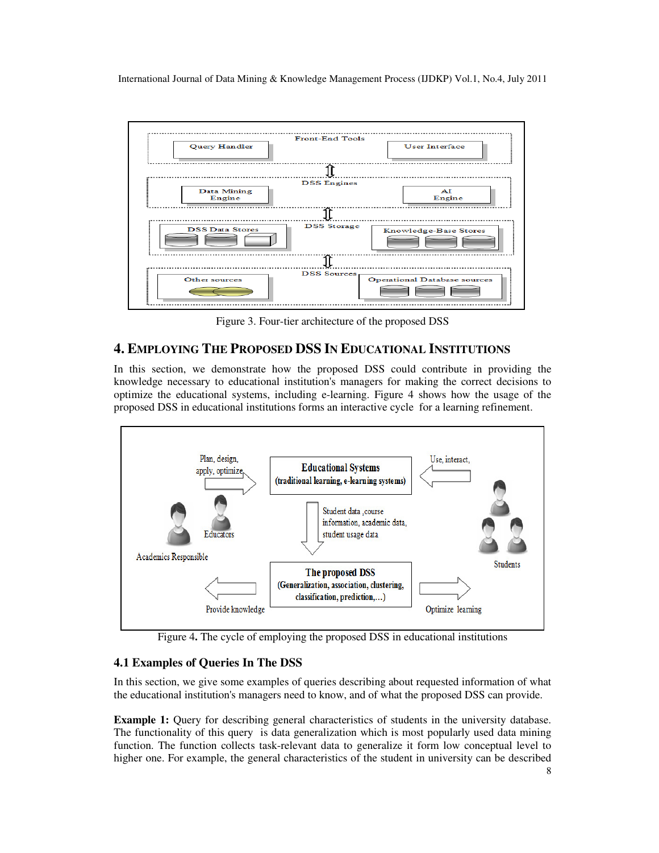

Figure 3. Four-tier architecture of the proposed DSS

# **4. EMPLOYING THE PROPOSED DSS IN EDUCATIONAL INSTITUTIONS**

In this section, we demonstrate how the proposed DSS could contribute in providing the knowledge necessary to educational institution's managers for making the correct decisions to optimize the educational systems, including e-learning. Figure 4 shows how the usage of the proposed DSS in educational institutions forms an interactive cycle for a learning refinement.



Figure 4**.** The cycle of employing the proposed DSS in educational institutions

# **4.1 Examples of Queries In The DSS**

In this section, we give some examples of queries describing about requested information of what the educational institution's managers need to know, and of what the proposed DSS can provide.

**Example 1:** Query for describing general characteristics of students in the university database. The functionality of this query is data generalization which is most popularly used data mining function. The function collects task-relevant data to generalize it form low conceptual level to higher one. For example, the general characteristics of the student in university can be described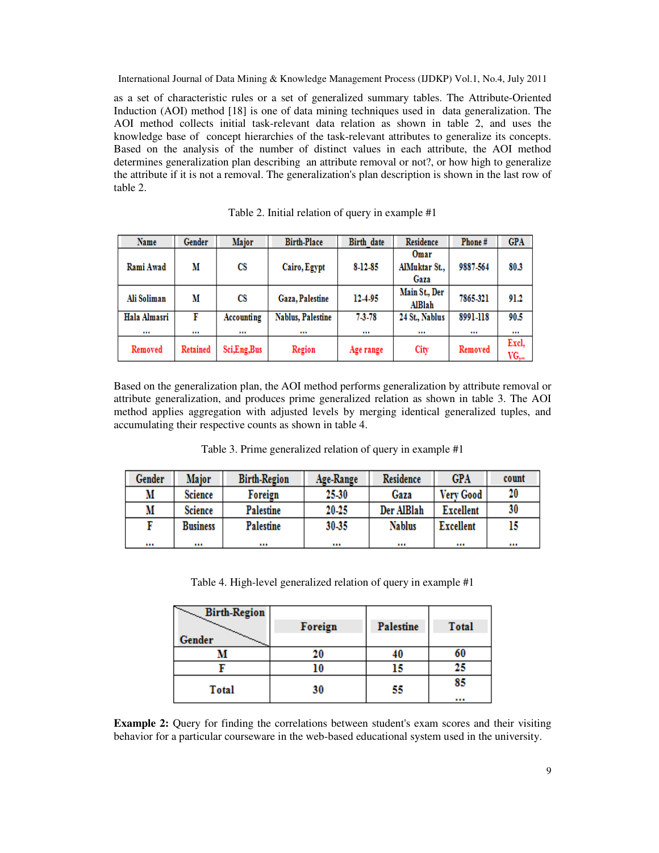as a set of characteristic rules or a set of generalized summary tables. The Attribute-Oriented Induction (AOI) method [18] is one of data mining techniques used in data generalization. The AOI method collects initial task-relevant data relation as shown in table 2, and uses the knowledge base of concept hierarchies of the task-relevant attributes to generalize its concepts. Based on the analysis of the number of distinct values in each attribute, the AOI method determines generalization plan describing an attribute removal or not?, or how high to generalize the attribute if it is not a removal. The generalization's plan description is shown in the last row of table 2.

| Name         | Gender   | Major       | <b>Birth-Place</b>       | Birth date | Residence                     | Phone#   | <b>GPA</b>   |
|--------------|----------|-------------|--------------------------|------------|-------------------------------|----------|--------------|
| Rami Awad    | М        | CS          | Cairo, Egypt             | 8-12-85    | Omar<br>AlMuktar St.,<br>Gaza | 9887-564 | 80.3         |
| Ali Soliman  | М        | CS          | Gaza, Palestine          | 12-4-95    | Main St., Der<br>AlBlah       | 7865-321 | 91.2         |
| Hala Almasri | F        | Accounting  | <b>Nablus, Palestine</b> | $7-3-78$   | 24 St., Nablus                | 8991-118 | 90.5         |
|              |          |             |                          |            |                               |          | $\cdots$     |
| Removed      | Retained | Sci,Eng,Bus | Region                   | Age range  | City                          | Removed  | Excl,<br>VG, |

Table 2. Initial relation of query in example #1

Based on the generalization plan, the AOI method performs generalization by attribute removal or attribute generalization, and produces prime generalized relation as shown in table 3. The AOI method applies aggregation with adjusted levels by merging identical generalized tuples, and accumulating their respective counts as shown in table 4.

| Gender | Major           | <b>Birth-Region</b> | Age-Range | Residence     | <b>GPA</b>       | count |
|--------|-----------------|---------------------|-----------|---------------|------------------|-------|
| М      | <b>Science</b>  | Foreign             | 25-30     | Gaza          | <b>Very Good</b> | 20    |
| М      | Science         | Palestine           | 20-25     | Der AlBlah    | <b>Excellent</b> | 30    |
|        | <b>Business</b> | Palestine           | 30-35     | <b>Nablus</b> | <b>Excellent</b> | 15    |
|        |                 |                     |           |               |                  |       |

Table 3. Prime generalized relation of query in example #1

Table 4. High-level generalized relation of query in example #1

| Birth-Region |         |                  |              |
|--------------|---------|------------------|--------------|
|              | Foreign | <b>Palestine</b> | <b>Total</b> |
| Gender       |         |                  |              |
|              | 20      |                  |              |
|              |         |                  | 25           |
| <b>Total</b> | 30      | 55               | 85           |
|              |         |                  |              |

**Example 2:** Query for finding the correlations between student's exam scores and their visiting behavior for a particular courseware in the web-based educational system used in the university.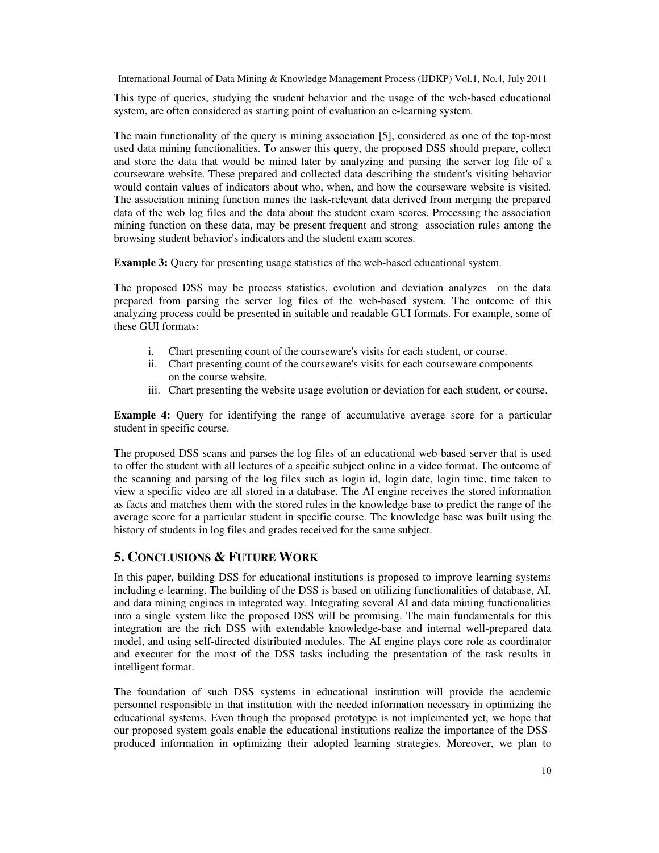This type of queries, studying the student behavior and the usage of the web-based educational system, are often considered as starting point of evaluation an e-learning system.

The main functionality of the query is mining association [5], considered as one of the top-most used data mining functionalities. To answer this query, the proposed DSS should prepare, collect and store the data that would be mined later by analyzing and parsing the server log file of a courseware website. These prepared and collected data describing the student's visiting behavior would contain values of indicators about who, when, and how the courseware website is visited. The association mining function mines the task-relevant data derived from merging the prepared data of the web log files and the data about the student exam scores. Processing the association mining function on these data, may be present frequent and strong association rules among the browsing student behavior's indicators and the student exam scores.

**Example 3:** Query for presenting usage statistics of the web-based educational system.

The proposed DSS may be process statistics, evolution and deviation analyzes on the data prepared from parsing the server log files of the web-based system. The outcome of this analyzing process could be presented in suitable and readable GUI formats. For example, some of these GUI formats:

- i. Chart presenting count of the courseware's visits for each student, or course.
- ii. Chart presenting count of the courseware's visits for each courseware components on the course website.
- iii. Chart presenting the website usage evolution or deviation for each student, or course.

**Example 4:** Query for identifying the range of accumulative average score for a particular student in specific course.

The proposed DSS scans and parses the log files of an educational web-based server that is used to offer the student with all lectures of a specific subject online in a video format. The outcome of the scanning and parsing of the log files such as login id, login date, login time, time taken to view a specific video are all stored in a database. The AI engine receives the stored information as facts and matches them with the stored rules in the knowledge base to predict the range of the average score for a particular student in specific course. The knowledge base was built using the history of students in log files and grades received for the same subject.

# **5. CONCLUSIONS & FUTURE WORK**

In this paper, building DSS for educational institutions is proposed to improve learning systems including e-learning. The building of the DSS is based on utilizing functionalities of database, AI, and data mining engines in integrated way. Integrating several AI and data mining functionalities into a single system like the proposed DSS will be promising. The main fundamentals for this integration are the rich DSS with extendable knowledge-base and internal well-prepared data model, and using self-directed distributed modules. The AI engine plays core role as coordinator and executer for the most of the DSS tasks including the presentation of the task results in intelligent format.

The foundation of such DSS systems in educational institution will provide the academic personnel responsible in that institution with the needed information necessary in optimizing the educational systems. Even though the proposed prototype is not implemented yet, we hope that our proposed system goals enable the educational institutions realize the importance of the DSSproduced information in optimizing their adopted learning strategies. Moreover, we plan to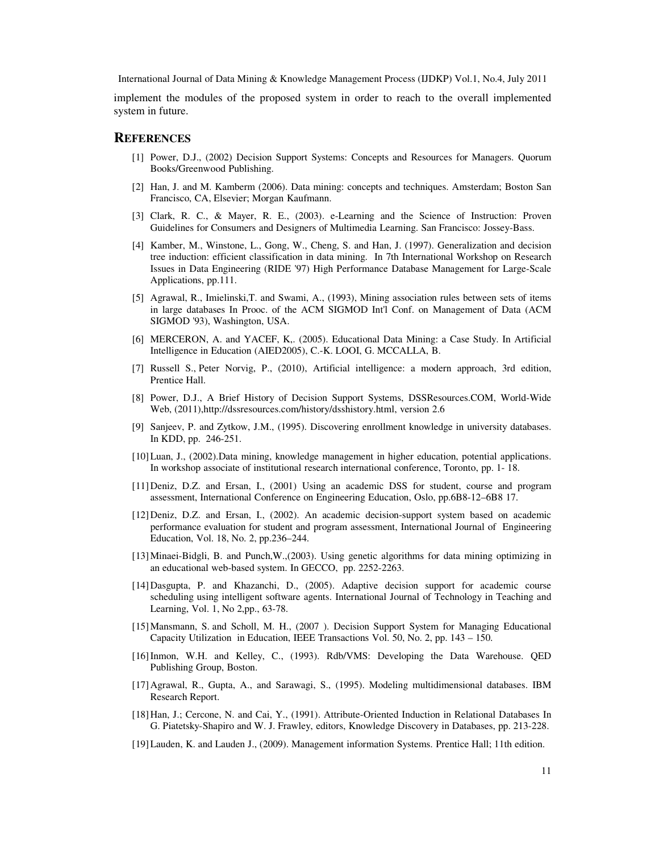implement the modules of the proposed system in order to reach to the overall implemented system in future.

#### **REFERENCES**

- [1] Power, D.J., (2002) Decision Support Systems: Concepts and Resources for Managers. Quorum Books/Greenwood Publishing.
- [2] Han, J. and M. Kamberm (2006). Data mining: concepts and techniques. Amsterdam; Boston San Francisco, CA, Elsevier; Morgan Kaufmann.
- [3] Clark, R. C., & Mayer, R. E., (2003). e-Learning and the Science of Instruction: Proven Guidelines for Consumers and Designers of Multimedia Learning. San Francisco: Jossey-Bass.
- [4] Kamber, M., Winstone, L., Gong, W., Cheng, S. and Han, J. (1997). Generalization and decision tree induction: efficient classification in data mining. In 7th International Workshop on Research Issues in Data Engineering (RIDE '97) High Performance Database Management for Large-Scale Applications, pp.111.
- [5] Agrawal, R., Imielinski,T. and Swami, A., (1993), Mining association rules between sets of items in large databases In Prooc. of the ACM SIGMOD Int'l Conf. on Management of Data (ACM SIGMOD '93), Washington, USA.
- [6] MERCERON, A. and YACEF, K,. (2005). Educational Data Mining: a Case Study. In Artificial Intelligence in Education (AIED2005), C.-K. LOOI, G. MCCALLA, B.
- [7] Russell S., Peter Norvig, P., (2010), Artificial intelligence: a modern approach, 3rd edition, Prentice Hall.
- [8] Power, D.J., A Brief History of Decision Support Systems, DSSResources.COM, World-Wide Web, (2011),http://dssresources.com/history/dsshistory.html, version 2.6
- [9] Sanjeev, P. and Zytkow, J.M., (1995). Discovering enrollment knowledge in university databases. In KDD, pp. 246-251.
- [10]Luan, J., (2002).Data mining, knowledge management in higher education, potential applications. In workshop associate of institutional research international conference, Toronto, pp. 1- 18.
- [11]Deniz, D.Z. and Ersan, I., (2001) Using an academic DSS for student, course and program assessment, International Conference on Engineering Education, Oslo, pp.6B8-12–6B8 17.
- [12]Deniz, D.Z. and Ersan, I., (2002). An academic decision-support system based on academic performance evaluation for student and program assessment, International Journal of Engineering Education, Vol. 18, No. 2, pp.236–244.
- [13]Minaei-Bidgli, B. and Punch,W.,(2003). Using genetic algorithms for data mining optimizing in an educational web-based system. In GECCO, pp. 2252-2263.
- [14]Dasgupta, P. and Khazanchi, D., (2005). Adaptive decision support for academic course scheduling using intelligent software agents. International Journal of Technology in Teaching and Learning, Vol. 1, No 2,pp., 63-78.
- [15]Mansmann, S. and Scholl, M. H., (2007 ). Decision Support System for Managing Educational Capacity Utilization in Education, IEEE Transactions Vol. 50, No. 2, pp. 143 – 150.
- [16]Inmon, W.H. and Kelley, C., (1993). Rdb/VMS: Developing the Data Warehouse. QED Publishing Group, Boston.
- [17]Agrawal, R., Gupta, A., and Sarawagi, S., (1995). Modeling multidimensional databases. IBM Research Report.
- [18]Han, J.; Cercone, N. and Cai, Y., (1991). Attribute-Oriented Induction in Relational Databases In G. Piatetsky-Shapiro and W. J. Frawley, editors, Knowledge Discovery in Databases, pp. 213-228.
- [19]Lauden, K. and Lauden J., (2009). Management information Systems. Prentice Hall; 11th edition.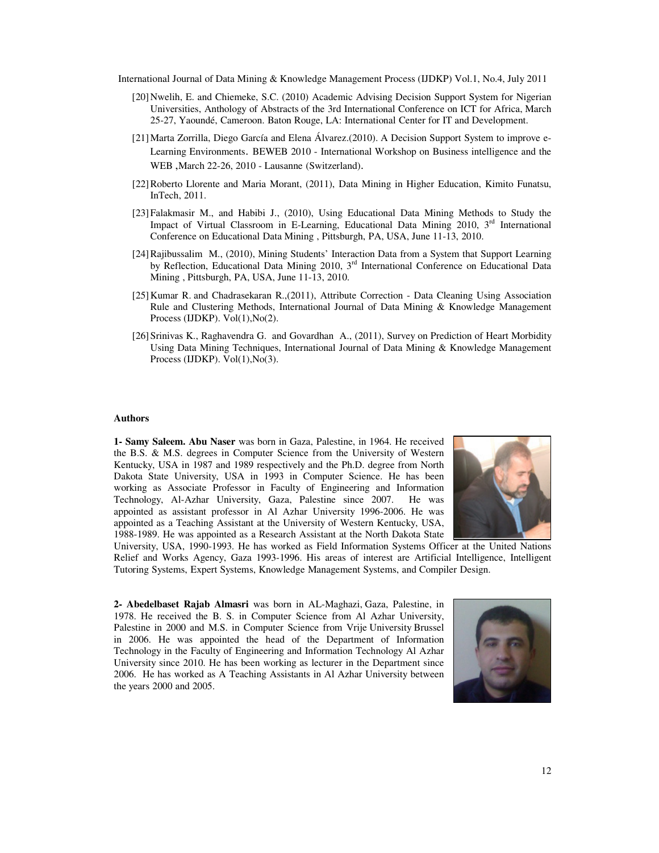- [20]Nwelih, E. and Chiemeke, S.C. (2010) Academic Advising Decision Support System for Nigerian Universities, Anthology of Abstracts of the 3rd International Conference on ICT for Africa, March 25-27, Yaoundé, Cameroon. Baton Rouge, LA: International Center for IT and Development.
- [21]Marta Zorrilla, Diego García and Elena Álvarez.(2010). A Decision Support System to improve e-Learning Environments. BEWEB 2010 - International Workshop on Business intelligence and the WEB ,March 22-26, 2010 - Lausanne (Switzerland).
- [22]Roberto Llorente and Maria Morant, (2011), Data Mining in Higher Education, Kimito Funatsu, InTech, 2011.
- [23]Falakmasir M., and Habibi J., (2010), Using Educational Data Mining Methods to Study the Impact of Virtual Classroom in E-Learning, Educational Data Mining 2010, 3<sup>rd</sup> International Conference on Educational Data Mining , Pittsburgh, PA, USA, June 11-13, 2010.
- [24]Rajibussalim M., (2010), Mining Students' Interaction Data from a System that Support Learning by Reflection, Educational Data Mining 2010, 3<sup>rd</sup> International Conference on Educational Data Mining , Pittsburgh, PA, USA, June 11-13, 2010.
- [25]Kumar R. and Chadrasekaran R.,(2011), Attribute Correction Data Cleaning Using Association Rule and Clustering Methods, International Journal of Data Mining & Knowledge Management Process (IJDKP). Vol(1), No(2).
- [26]Srinivas K., Raghavendra G. and Govardhan A., (2011), Survey on Prediction of Heart Morbidity Using Data Mining Techniques, International Journal of Data Mining & Knowledge Management Process (IJDKP). Vol(1), No(3).

#### **Authors**

**1- Samy Saleem. Abu Naser** was born in Gaza, Palestine, in 1964. He received the B.S. & M.S. degrees in Computer Science from the University of Western Kentucky, USA in 1987 and 1989 respectively and the Ph.D. degree from North Dakota State University, USA in 1993 in Computer Science. He has been working as Associate Professor in Faculty of Engineering and Information Technology, Al-Azhar University, Gaza, Palestine since 2007. He was appointed as assistant professor in Al Azhar University 1996-2006. He was appointed as a Teaching Assistant at the University of Western Kentucky, USA, 1988-1989. He was appointed as a Research Assistant at the North Dakota State



University, USA, 1990-1993. He has worked as Field Information Systems Officer at the United Nations Relief and Works Agency, Gaza 1993-1996. His areas of interest are Artificial Intelligence, Intelligent Tutoring Systems, Expert Systems, Knowledge Management Systems, and Compiler Design.

**2- Abedelbaset Rajab Almasri** was born in AL-Maghazi, Gaza, Palestine, in 1978. He received the B. S. in Computer Science from Al Azhar University, Palestine in 2000 and M.S. in Computer Science from Vrije University Brussel in 2006. He was appointed the head of the Department of Information Technology in the Faculty of Engineering and Information Technology Al Azhar University since 2010. He has been working as lecturer in the Department since 2006. He has worked as A Teaching Assistants in Al Azhar University between the years 2000 and 2005.